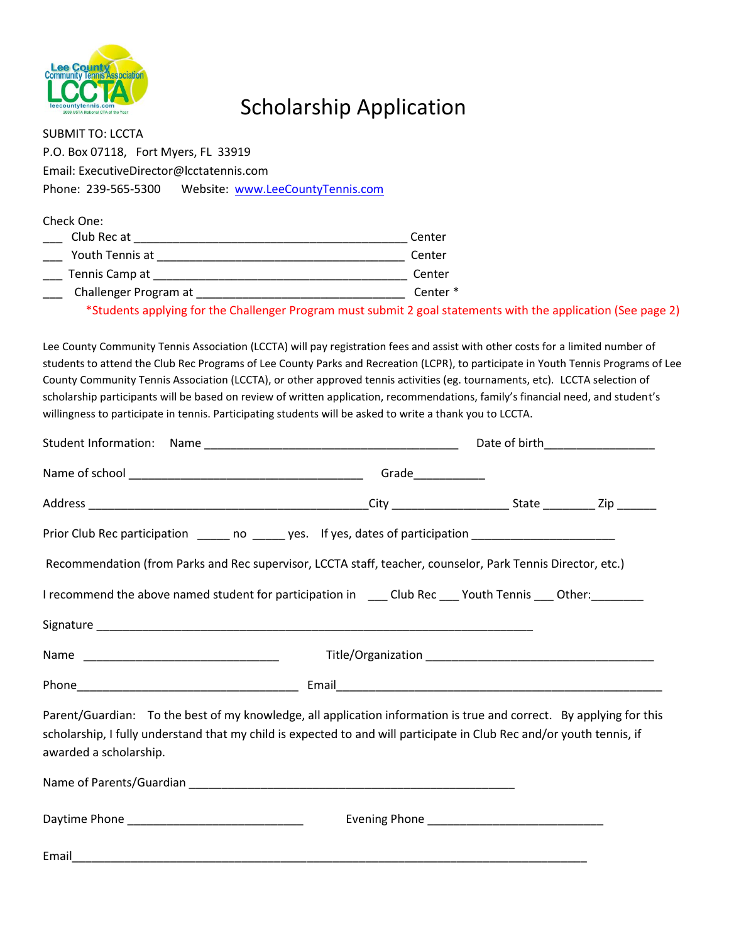

## Scholarship Application

| <b>SUBMIT TO: LCCTA</b>                                                                                                                                                                                  |                                                   |
|----------------------------------------------------------------------------------------------------------------------------------------------------------------------------------------------------------|---------------------------------------------------|
| P.O. Box 07118, Fort Myers, FL 33919                                                                                                                                                                     |                                                   |
| Email: ExecutiveDirector@lcctatennis.com                                                                                                                                                                 |                                                   |
| Phone: 239-565-5300  Website: www.LeeCountyTennis.com                                                                                                                                                    |                                                   |
| Check One:<br>Club Rec at<br>Youth Tennis at<br>Tennis Camp at<br>Challenger Program at<br>*Students applying for the Challenger Program must submit 2 goal statements with the application (See page 2) | Center<br>Center<br>Center<br>Center <sup>*</sup> |

Lee County Community Tennis Association (LCCTA) will pay registration fees and assist with other costs for a limited number of students to attend the Club Rec Programs of Lee County Parks and Recreation (LCPR), to participate in Youth Tennis Programs of Lee County Community Tennis Association (LCCTA), or other approved tennis activities (eg. tournaments, etc). LCCTA selection of scholarship participants will be based on review of written application, recommendations, family's financial need, and student's willingness to participate in tennis. Participating students will be asked to write a thank you to LCCTA.

|                                                                                                                                                                                                                                                                        | Date of birth <b>Exercise 2018</b> |  |  |
|------------------------------------------------------------------------------------------------------------------------------------------------------------------------------------------------------------------------------------------------------------------------|------------------------------------|--|--|
|                                                                                                                                                                                                                                                                        | Grade____________                  |  |  |
|                                                                                                                                                                                                                                                                        |                                    |  |  |
| Prior Club Rec participation ______ no ______ yes. If yes, dates of participation __________________                                                                                                                                                                   |                                    |  |  |
| Recommendation (from Parks and Rec supervisor, LCCTA staff, teacher, counselor, Park Tennis Director, etc.)                                                                                                                                                            |                                    |  |  |
| I recommend the above named student for participation in _____ Club Rec ____ Youth Tennis ____ Other: ________                                                                                                                                                         |                                    |  |  |
|                                                                                                                                                                                                                                                                        |                                    |  |  |
|                                                                                                                                                                                                                                                                        |                                    |  |  |
|                                                                                                                                                                                                                                                                        |                                    |  |  |
| Parent/Guardian: To the best of my knowledge, all application information is true and correct. By applying for this<br>scholarship, I fully understand that my child is expected to and will participate in Club Rec and/or youth tennis, if<br>awarded a scholarship. |                                    |  |  |
|                                                                                                                                                                                                                                                                        |                                    |  |  |
|                                                                                                                                                                                                                                                                        |                                    |  |  |
|                                                                                                                                                                                                                                                                        |                                    |  |  |